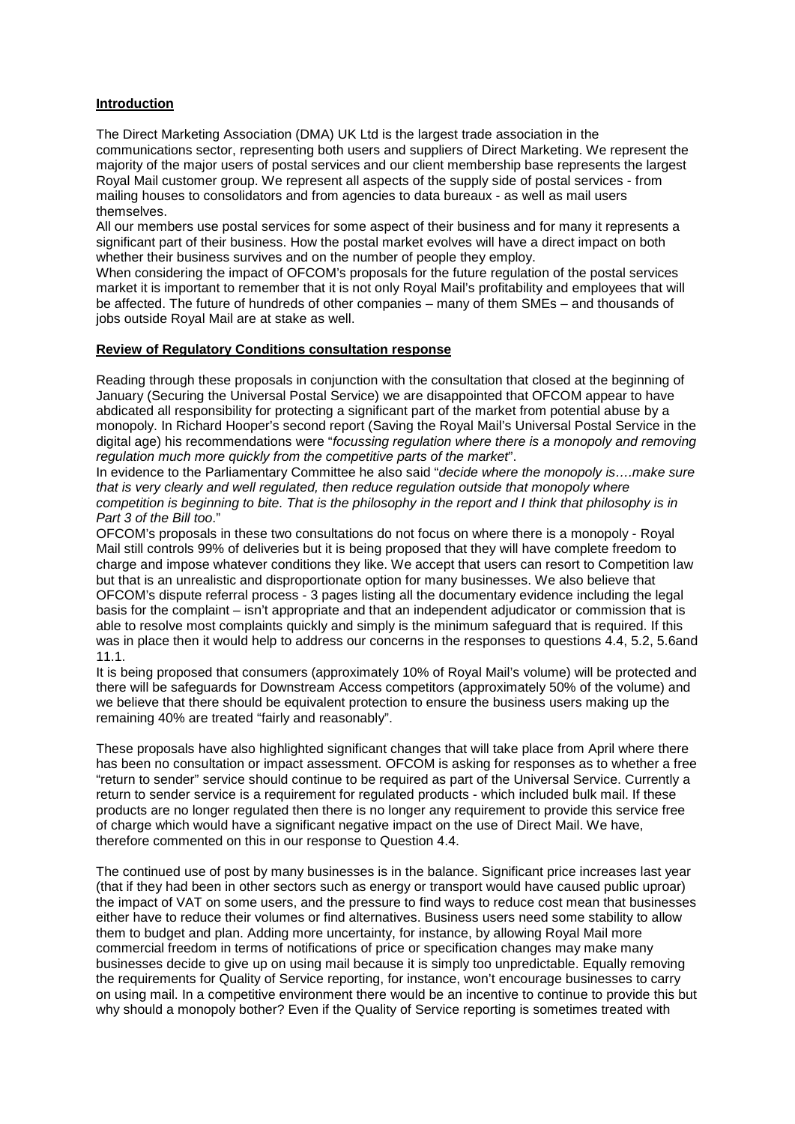## **Introduction**

The Direct Marketing Association (DMA) UK Ltd is the largest trade association in the communications sector, representing both users and suppliers of Direct Marketing. We represent the majority of the major users of postal services and our client membership base represents the largest Royal Mail customer group. We represent all aspects of the supply side of postal services - from mailing houses to consolidators and from agencies to data bureaux - as well as mail users themselves.

All our members use postal services for some aspect of their business and for many it represents a significant part of their business. How the postal market evolves will have a direct impact on both whether their business survives and on the number of people they employ.

When considering the impact of OFCOM's proposals for the future regulation of the postal services market it is important to remember that it is not only Royal Mail's profitability and employees that will be affected. The future of hundreds of other companies – many of them SMEs – and thousands of jobs outside Royal Mail are at stake as well.

## **Review of Regulatory Conditions consultation response**

Reading through these proposals in conjunction with the consultation that closed at the beginning of January (Securing the Universal Postal Service) we are disappointed that OFCOM appear to have abdicated all responsibility for protecting a significant part of the market from potential abuse by a monopoly. In Richard Hooper's second report (Saving the Royal Mail's Universal Postal Service in the digital age) his recommendations were "*focussing regulation where there is a monopoly and removing regulation much more quickly from the competitive parts of the market*".

In evidence to the Parliamentary Committee he also said "*decide where the monopoly is….make sure that is very clearly and well regulated, then reduce regulation outside that monopoly where competition is beginning to bite. That is the philosophy in the report and I think that philosophy is in Part 3 of the Bill too*."

OFCOM's proposals in these two consultations do not focus on where there is a monopoly - Royal Mail still controls 99% of deliveries but it is being proposed that they will have complete freedom to charge and impose whatever conditions they like. We accept that users can resort to Competition law but that is an unrealistic and disproportionate option for many businesses. We also believe that OFCOM's dispute referral process - 3 pages listing all the documentary evidence including the legal basis for the complaint – isn't appropriate and that an independent adjudicator or commission that is able to resolve most complaints quickly and simply is the minimum safeguard that is required. If this was in place then it would help to address our concerns in the responses to questions 4.4, 5.2, 5.6and 11.1.

It is being proposed that consumers (approximately 10% of Royal Mail's volume) will be protected and there will be safeguards for Downstream Access competitors (approximately 50% of the volume) and we believe that there should be equivalent protection to ensure the business users making up the remaining 40% are treated "fairly and reasonably".

These proposals have also highlighted significant changes that will take place from April where there has been no consultation or impact assessment. OFCOM is asking for responses as to whether a free "return to sender" service should continue to be required as part of the Universal Service. Currently a return to sender service is a requirement for regulated products - which included bulk mail. If these products are no longer regulated then there is no longer any requirement to provide this service free of charge which would have a significant negative impact on the use of Direct Mail. We have, therefore commented on this in our response to Question 4.4.

The continued use of post by many businesses is in the balance. Significant price increases last year (that if they had been in other sectors such as energy or transport would have caused public uproar) the impact of VAT on some users, and the pressure to find ways to reduce cost mean that businesses either have to reduce their volumes or find alternatives. Business users need some stability to allow them to budget and plan. Adding more uncertainty, for instance, by allowing Royal Mail more commercial freedom in terms of notifications of price or specification changes may make many businesses decide to give up on using mail because it is simply too unpredictable. Equally removing the requirements for Quality of Service reporting, for instance, won't encourage businesses to carry on using mail. In a competitive environment there would be an incentive to continue to provide this but why should a monopoly bother? Even if the Quality of Service reporting is sometimes treated with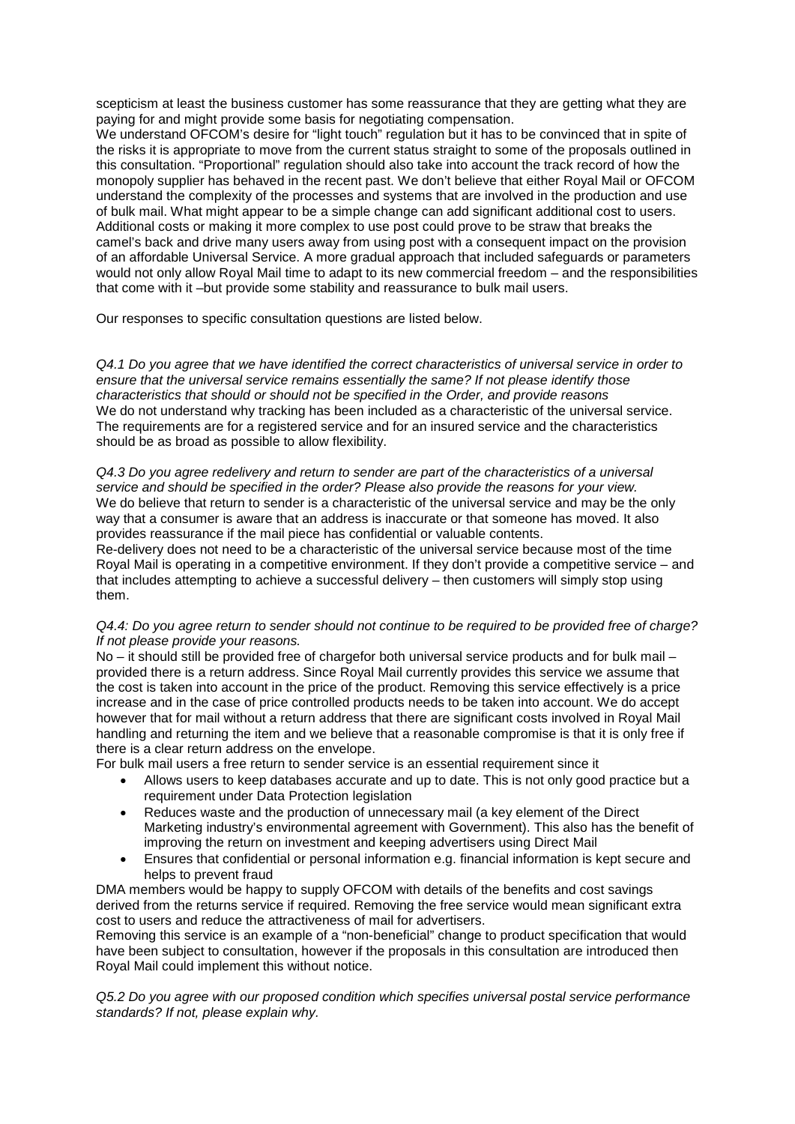scepticism at least the business customer has some reassurance that they are getting what they are paying for and might provide some basis for negotiating compensation.

We understand OFCOM's desire for "light touch" regulation but it has to be convinced that in spite of the risks it is appropriate to move from the current status straight to some of the proposals outlined in this consultation. "Proportional" regulation should also take into account the track record of how the monopoly supplier has behaved in the recent past. We don't believe that either Royal Mail or OFCOM understand the complexity of the processes and systems that are involved in the production and use of bulk mail. What might appear to be a simple change can add significant additional cost to users. Additional costs or making it more complex to use post could prove to be straw that breaks the camel's back and drive many users away from using post with a consequent impact on the provision of an affordable Universal Service. A more gradual approach that included safeguards or parameters would not only allow Royal Mail time to adapt to its new commercial freedom – and the responsibilities that come with it –but provide some stability and reassurance to bulk mail users.

Our responses to specific consultation questions are listed below.

*Q4.1 Do you agree that we have identified the correct characteristics of universal service in order to ensure that the universal service remains essentially the same? If not please identify those characteristics that should or should not be specified in the Order, and provide reasons*  We do not understand why tracking has been included as a characteristic of the universal service. The requirements are for a registered service and for an insured service and the characteristics should be as broad as possible to allow flexibility.

#### *Q4.3 Do you agree redelivery and return to sender are part of the characteristics of a universal service and should be specified in the order? Please also provide the reasons for your view.* We do believe that return to sender is a characteristic of the universal service and may be the only way that a consumer is aware that an address is inaccurate or that someone has moved. It also provides reassurance if the mail piece has confidential or valuable contents.

Re-delivery does not need to be a characteristic of the universal service because most of the time Royal Mail is operating in a competitive environment. If they don't provide a competitive service – and that includes attempting to achieve a successful delivery – then customers will simply stop using them.

### *Q4.4: Do you agree return to sender should not continue to be required to be provided free of charge? If not please provide your reasons.*

No *–* it should still be provided free of chargefor both universal service products and for bulk mail – provided there is a return address. Since Royal Mail currently provides this service we assume that the cost is taken into account in the price of the product. Removing this service effectively is a price increase and in the case of price controlled products needs to be taken into account. We do accept however that for mail without a return address that there are significant costs involved in Royal Mail handling and returning the item and we believe that a reasonable compromise is that it is only free if there is a clear return address on the envelope.

For bulk mail users a free return to sender service is an essential requirement since it

- Allows users to keep databases accurate and up to date. This is not only good practice but a requirement under Data Protection legislation
- Reduces waste and the production of unnecessary mail (a key element of the Direct Marketing industry's environmental agreement with Government). This also has the benefit of improving the return on investment and keeping advertisers using Direct Mail
- Ensures that confidential or personal information e.g. financial information is kept secure and helps to prevent fraud

DMA members would be happy to supply OFCOM with details of the benefits and cost savings derived from the returns service if required. Removing the free service would mean significant extra cost to users and reduce the attractiveness of mail for advertisers.

Removing this service is an example of a "non-beneficial" change to product specification that would have been subject to consultation, however if the proposals in this consultation are introduced then Royal Mail could implement this without notice.

*Q5.2 Do you agree with our proposed condition which specifies universal postal service performance standards? If not, please explain why.*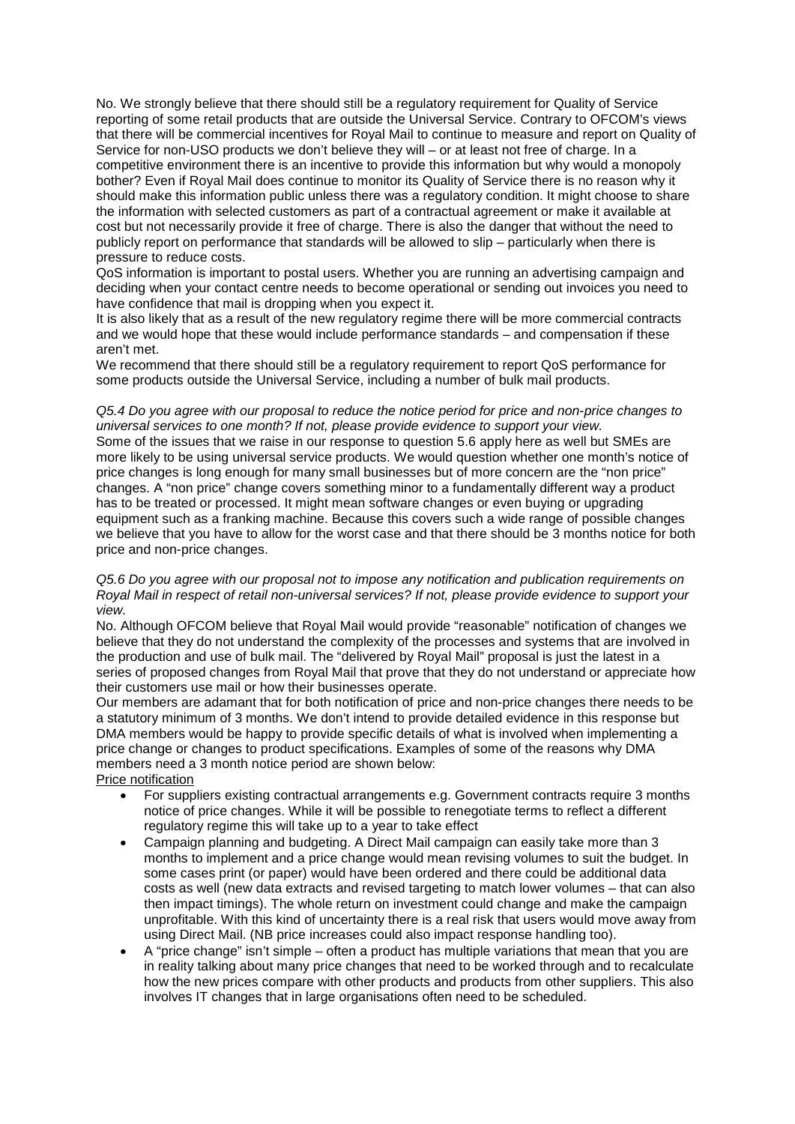No. We strongly believe that there should still be a regulatory requirement for Quality of Service reporting of some retail products that are outside the Universal Service. Contrary to OFCOM's views that there will be commercial incentives for Royal Mail to continue to measure and report on Quality of Service for non-USO products we don't believe they will – or at least not free of charge. In a competitive environment there is an incentive to provide this information but why would a monopoly bother? Even if Royal Mail does continue to monitor its Quality of Service there is no reason why it should make this information public unless there was a regulatory condition. It might choose to share the information with selected customers as part of a contractual agreement or make it available at cost but not necessarily provide it free of charge. There is also the danger that without the need to publicly report on performance that standards will be allowed to slip – particularly when there is pressure to reduce costs.

QoS information is important to postal users. Whether you are running an advertising campaign and deciding when your contact centre needs to become operational or sending out invoices you need to have confidence that mail is dropping when you expect it.

It is also likely that as a result of the new regulatory regime there will be more commercial contracts and we would hope that these would include performance standards – and compensation if these aren't met.

We recommend that there should still be a regulatory requirement to report QoS performance for some products outside the Universal Service, including a number of bulk mail products.

#### *Q5.4 Do you agree with our proposal to reduce the notice period for price and non-price changes to universal services to one month? If not, please provide evidence to support your view.*

Some of the issues that we raise in our response to question 5.6 apply here as well but SMEs are more likely to be using universal service products. We would question whether one month's notice of price changes is long enough for many small businesses but of more concern are the "non price" changes. A "non price" change covers something minor to a fundamentally different way a product has to be treated or processed. It might mean software changes or even buying or upgrading equipment such as a franking machine. Because this covers such a wide range of possible changes we believe that you have to allow for the worst case and that there should be 3 months notice for both price and non-price changes.

#### *Q5.6 Do you agree with our proposal not to impose any notification and publication requirements on Royal Mail in respect of retail non-universal services? If not, please provide evidence to support your view.*

No. Although OFCOM believe that Royal Mail would provide "reasonable" notification of changes we believe that they do not understand the complexity of the processes and systems that are involved in the production and use of bulk mail. The "delivered by Royal Mail" proposal is just the latest in a series of proposed changes from Royal Mail that prove that they do not understand or appreciate how their customers use mail or how their businesses operate.

Our members are adamant that for both notification of price and non-price changes there needs to be a statutory minimum of 3 months. We don't intend to provide detailed evidence in this response but DMA members would be happy to provide specific details of what is involved when implementing a price change or changes to product specifications. Examples of some of the reasons why DMA members need a 3 month notice period are shown below:

# Price notification

- For suppliers existing contractual arrangements e.g. Government contracts require 3 months notice of price changes. While it will be possible to renegotiate terms to reflect a different regulatory regime this will take up to a year to take effect
- Campaign planning and budgeting. A Direct Mail campaign can easily take more than 3 months to implement and a price change would mean revising volumes to suit the budget. In some cases print (or paper) would have been ordered and there could be additional data costs as well (new data extracts and revised targeting to match lower volumes – that can also then impact timings). The whole return on investment could change and make the campaign unprofitable. With this kind of uncertainty there is a real risk that users would move away from using Direct Mail. (NB price increases could also impact response handling too).
- A "price change" isn't simple often a product has multiple variations that mean that you are in reality talking about many price changes that need to be worked through and to recalculate how the new prices compare with other products and products from other suppliers. This also involves IT changes that in large organisations often need to be scheduled.